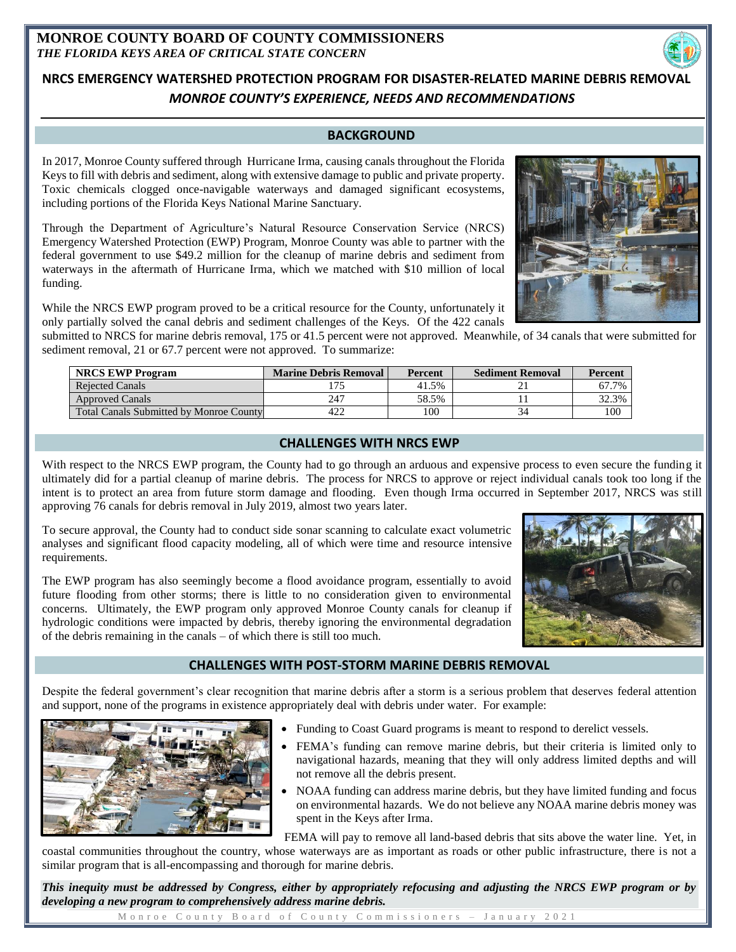## **MONROE COUNTY BOARD OF COUNTY COMMISSIONERS** *THE FLORIDA KEYS AREA OF CRITICAL STATE CONCERN*

# **NRCS EMERGENCY WATERSHED PROTECTION PROGRAM FOR DISASTER-RELATED MARINE DEBRIS REMOVAL**  *MONROE COUNTY'S EXPERIENCE, NEEDS AND RECOMMENDATIONS*

## **BACKGROUND**

In 2017, Monroe County suffered through Hurricane Irma, causing canals throughout the Florida Keys to fill with debris and sediment, along with extensive damage to public and private property. Toxic chemicals clogged once-navigable waterways and damaged significant ecosystems, including portions of the Florida Keys National Marine Sanctuary.

Through the Department of Agriculture's Natural Resource Conservation Service (NRCS) Emergency Watershed Protection (EWP) Program, Monroe County was able to partner with the federal government to use \$49.2 million for the cleanup of marine debris and sediment from waterways in the aftermath of Hurricane Irma, which we matched with \$10 million of local funding.

While the NRCS EWP program proved to be a critical resource for the County, unfortunately it only partially solved the canal debris and sediment challenges of the Keys. Of the 422 canals

submitted to NRCS for marine debris removal, 175 or 41.5 percent were not approved. Meanwhile, of 34 canals that were submitted for sediment removal, 21 or 67.7 percent were not approved. To summarize:

| <b>NRCS EWP Program</b>                        | <b>Marine Debris Removal</b> | Percent | <b>Sediment Removal</b> | Percent |
|------------------------------------------------|------------------------------|---------|-------------------------|---------|
| <b>Rejected Canals</b>                         |                              | 41.5%   |                         | 67.7%   |
| <b>Approved Canals</b>                         | 247                          | 58.5%   |                         | 32.3%   |
| <b>Total Canals Submitted by Monroe County</b> | 422                          | 100     |                         | 100     |

## **CHALLENGES WITH NRCS EWP**

With respect to the NRCS EWP program, the County had to go through an arduous and expensive process to even secure the funding it ultimately did for a partial cleanup of marine debris. The process for NRCS to approve or reject individual canals took too long if the intent is to protect an area from future storm damage and flooding. Even though Irma occurred in September 2017, NRCS was still approving 76 canals for debris removal in July 2019, almost two years later.

To secure approval, the County had to conduct side sonar scanning to calculate exact volumetric analyses and significant flood capacity modeling, all of which were time and resource intensive requirements.

The EWP program has also seemingly become a flood avoidance program, essentially to avoid future flooding from other storms; there is little to no consideration given to environmental concerns. Ultimately, the EWP program only approved Monroe County canals for cleanup if hydrologic conditions were impacted by debris, thereby ignoring the environmental degradation of the debris remaining in the canals – of which there is still too much.

#### **CHALLENGES WITH POST-STORM MARINE DEBRIS REMOVAL**

Despite the federal government's clear recognition that marine debris after a storm is a serious problem that deserves federal attention and support, none of the programs in existence appropriately deal with debris under water. For example:

- Funding to Coast Guard programs is meant to respond to derelict vessels.
- FEMA's funding can remove marine debris, but their criteria is limited only to navigational hazards, meaning that they will only address limited depths and will not remove all the debris present.
- NOAA funding can address marine debris, but they have limited funding and focus on environmental hazards. We do not believe any NOAA marine debris money was spent in the Keys after Irma.

FEMA will pay to remove all land-based debris that sits above the water line. Yet, in

coastal communities throughout the country, whose waterways are as important as roads or other public infrastructure, there is not a similar program that is all-encompassing and thorough for marine debris.

*This inequity must be addressed by Congress, either by appropriately refocusing and adjusting the NRCS EWP program or by developing a new program to comprehensively address marine debris.*

M on roe County Board of County Commissioners - January 2021